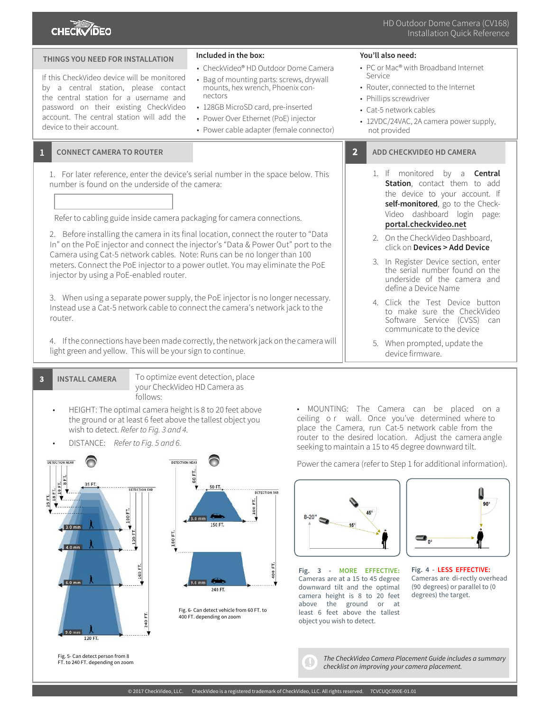

| THINGS YOU NEED FOR INSTALLATION                                                                                                                                                                                                                                                                                                                                                                                                                                                                                                                                                                                                                                                                                                                                                | Included in the box:<br>• CheckVideo® HD Outdoor Dome Camera                                                                                                                                                      | You'll also need:<br>• PC or Mac® with Broadband Internet                                                                                                                                                                                                                                                                                                                                                                                                                                                                                      |
|---------------------------------------------------------------------------------------------------------------------------------------------------------------------------------------------------------------------------------------------------------------------------------------------------------------------------------------------------------------------------------------------------------------------------------------------------------------------------------------------------------------------------------------------------------------------------------------------------------------------------------------------------------------------------------------------------------------------------------------------------------------------------------|-------------------------------------------------------------------------------------------------------------------------------------------------------------------------------------------------------------------|------------------------------------------------------------------------------------------------------------------------------------------------------------------------------------------------------------------------------------------------------------------------------------------------------------------------------------------------------------------------------------------------------------------------------------------------------------------------------------------------------------------------------------------------|
| If this CheckVideo device will be monitored<br>by a central station, please contact<br>the central station for a username and<br>password on their existing CheckVideo<br>account. The central station will add the<br>device to their account.                                                                                                                                                                                                                                                                                                                                                                                                                                                                                                                                 | • Bag of mounting parts: screws, drywall<br>mounts, hex wrench, Phoenix con-<br>nectors<br>• 128GB MicroSD card, pre-inserted<br>• Power Over Ethernet (PoE) injector<br>• Power cable adapter (female connector) | Service<br>• Router, connected to the Internet<br>• Phillips screwdriver<br>• Cat-5 network cables<br>• 12VDC/24VAC, 2A camera power supply,<br>not provided                                                                                                                                                                                                                                                                                                                                                                                   |
| <b>CONNECT CAMERA TO ROUTER</b>                                                                                                                                                                                                                                                                                                                                                                                                                                                                                                                                                                                                                                                                                                                                                 |                                                                                                                                                                                                                   | $\overline{2}$<br>ADD CHECKVIDEO HD CAMERA                                                                                                                                                                                                                                                                                                                                                                                                                                                                                                     |
| 1. For later reference, enter the device's serial number in the space below. This<br>number is found on the underside of the camera:<br>Refer to cabling guide inside camera packaging for camera connections.<br>2. Before installing the camera in its final location, connect the router to "Data<br>In" on the PoE injector and connect the injector's "Data & Power Out" port to the<br>Camera using Cat-5 network cables. Note: Runs can be no longer than 100<br>meters. Connect the PoE injector to a power outlet. You may eliminate the PoE<br>injector by using a PoE-enabled router.<br>3. When using a separate power supply, the PoE injector is no longer necessary.<br>Instead use a Cat-5 network cable to connect the camera's network jack to the<br>router. |                                                                                                                                                                                                                   | 1. If monitored<br>by a<br>Central<br><b>Station</b> , contact them to add<br>the device to your account. If<br>self-monitored, go to the Check-<br>Video dashboard login<br>page:<br>portal.checkvideo.net<br>2. On the CheckVideo Dashboard,<br>click on Devices > Add Device<br>3. In Register Device section, enter<br>the serial number found on the<br>underside of the camera and<br>define a Device Name<br>4. Click the Test Device button<br>to make sure the CheckVideo<br>Software Service (CVSS) can<br>communicate to the device |
| 4. If the connections have been made correctly, the network jack on the camera will<br>light green and yellow. This will be your sign to continue.                                                                                                                                                                                                                                                                                                                                                                                                                                                                                                                                                                                                                              |                                                                                                                                                                                                                   | 5. When prompted, update the<br>device firmware.                                                                                                                                                                                                                                                                                                                                                                                                                                                                                               |
|                                                                                                                                                                                                                                                                                                                                                                                                                                                                                                                                                                                                                                                                                                                                                                                 |                                                                                                                                                                                                                   |                                                                                                                                                                                                                                                                                                                                                                                                                                                                                                                                                |

**3 INSTALL CAMERA** To optimize event detection, place your CheckVideo HD Camera as follows:

- HEIGHT: The optimal camera height is 8 to 20 feet above the ground or at least 6 feet above the tallest object you wish to detect. Refer to Fig. 3 and 4.
- DISTANCE: Refer to Fig. 5 and 6.



• MOUNTING: The Camera can be placed on a ceiling o r wall. Once you've determined where to place the Camera, run Cat-5 network cable from the router to the desired location. Adjust the camera angle seeking to maintain a 15 to 45 degree downward tilt.

Power the camera (refer to Step 1 for additional information).



**Fig. 3 - MORE EFFECTIVE:** Cameras are at a 15 to 45 degree downward tilt and the optimal camera height is 8 to 20 feet above the ground or at least 6 feet above the tallest object you wish to detect.



**Fig. 4 - LESS EFFECTIVE:** Cameras are di-rectly overhead (90 degrees) or parallel to (0 degrees) the target.

The CheckVideo Camera Placement Guide includes a summary checklist on improving your camera placement.

 $\Box$